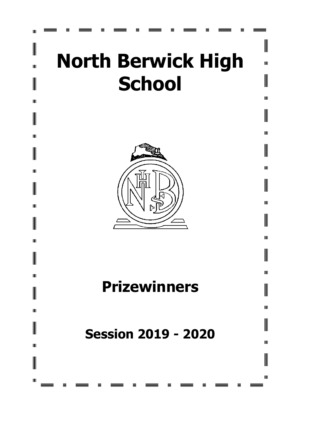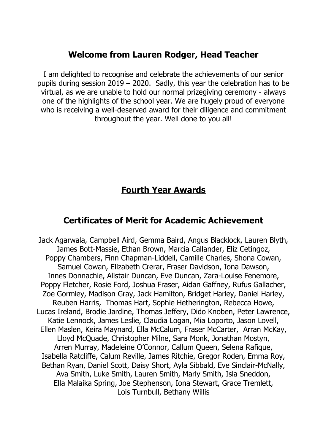## **Welcome from Lauren Rodger, Head Teacher**

I am delighted to recognise and celebrate the achievements of our senior pupils during session 2019 – 2020. Sadly, this year the celebration has to be virtual, as we are unable to hold our normal prizegiving ceremony - always one of the highlights of the school year. We are hugely proud of everyone who is receiving a well-deserved award for their diligence and commitment throughout the year. Well done to you all!

# **Fourth Year Awards**

# **Certificates of Merit for Academic Achievement**

Jack Agarwala, Campbell Aird, Gemma Baird, Angus Blacklock, Lauren Blyth, James Bott-Massie, Ethan Brown, Marcia Callander, Eliz Cetingoz, Poppy Chambers, Finn Chapman-Liddell, Camille Charles, Shona Cowan, Samuel Cowan, Elizabeth Crerar, Fraser Davidson, Iona Dawson, Innes Donnachie, Alistair Duncan, Eve Duncan, Zara-Louise Fenemore, Poppy Fletcher, Rosie Ford, Joshua Fraser, Aidan Gaffney, Rufus Gallacher, Zoe Gormley, Madison Gray, Jack Hamilton, Bridget Harley, Daniel Harley, Reuben Harris, Thomas Hart, Sophie Hetherington, Rebecca Howe, Lucas Ireland, Brodie Jardine, Thomas Jeffery, Dido Knoben, Peter Lawrence, Katie Lennock, James Leslie, Claudia Logan, Mia Loporto, Jason Lovell, Ellen Maslen, Keira Maynard, Ella McCalum, Fraser McCarter, Arran McKay, Lloyd McQuade, Christopher Milne, Sara Monk, Jonathan Mostyn, Arren Murray, Madeleine O'Connor, Callum Queen, Selena Rafique, Isabella Ratcliffe, Calum Reville, James Ritchie, Gregor Roden, Emma Roy, Bethan Ryan, Daniel Scott, Daisy Short, Ayla Sibbald, Eve Sinclair-McNally, Ava Smith, Luke Smith, Lauren Smith, Marly Smith, Isla Sneddon, Ella Malaika Spring, Joe Stephenson, Iona Stewart, Grace Tremlett, Lois Turnbull, Bethany Willis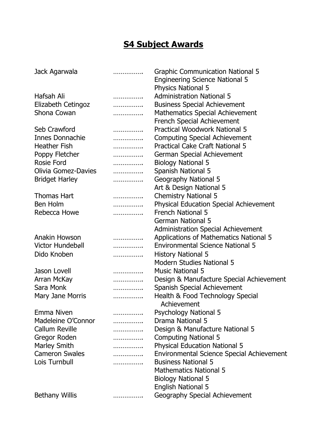# **S4 Subject Awards**

| Jack Agarwala              | . | <b>Graphic Communication National 5</b><br><b>Engineering Science National 5</b> |
|----------------------------|---|----------------------------------------------------------------------------------|
|                            |   | <b>Physics National 5</b>                                                        |
| Hafsah Ali                 | . | <b>Administration National 5</b>                                                 |
| Elizabeth Cetingoz         | . | <b>Business Special Achievement</b>                                              |
| Shona Cowan                | . | <b>Mathematics Special Achievement</b>                                           |
|                            |   | <b>French Special Achievement</b>                                                |
| Seb Crawford               | . | <b>Practical Woodwork National 5</b>                                             |
| Innes Donnachie            | . | <b>Computing Special Achievement</b>                                             |
| <b>Heather Fish</b>        | . | <b>Practical Cake Craft National 5</b>                                           |
| Poppy Fletcher             | . | German Special Achievement                                                       |
| <b>Rosie Ford</b>          | . | <b>Biology National 5</b>                                                        |
| <b>Olivia Gomez-Davies</b> | . | <b>Spanish National 5</b>                                                        |
| <b>Bridget Harley</b>      | . | <b>Geography National 5</b>                                                      |
|                            |   | Art & Design National 5                                                          |
| <b>Thomas Hart</b>         | . | <b>Chemistry National 5</b>                                                      |
| <b>Ben Holm</b>            | . | <b>Physical Education Special Achievement</b>                                    |
| Rebecca Howe               | . | <b>French National 5</b>                                                         |
|                            |   | <b>German National 5</b>                                                         |
|                            |   | <b>Administration Special Achievement</b>                                        |
| Anakin Howson              | . | Applications of Mathematics National 5                                           |
| Victor Hundebøll           | . | <b>Environmental Science National 5</b>                                          |
| Dido Knoben                |   | <b>History National 5</b>                                                        |
|                            |   | <b>Modern Studies National 5</b>                                                 |
| Jason Lovell               | . | <b>Music National 5</b>                                                          |
| Arran McKay                | . | Design & Manufacture Special Achievement                                         |
| Sara Monk                  |   | <b>Spanish Special Achievement</b>                                               |
|                            | . |                                                                                  |
| Mary Jane Morris           | . | Health & Food Technology Special                                                 |
|                            |   | Achievement                                                                      |
| Emma Niven                 | . | <b>Psychology National 5</b>                                                     |
| Madeleine O'Connor         | . | Drama National 5                                                                 |
| <b>Callum Reville</b>      | . | Design & Manufacture National 5                                                  |
| Gregor Roden               | . | <b>Computing National 5</b>                                                      |
| <b>Marley Smith</b>        | . | <b>Physical Education National 5</b>                                             |
| <b>Cameron Swales</b>      | . | Environmental Science Special Achievement                                        |
| Lois Turnbull              |   | <b>Business National 5</b>                                                       |
|                            |   | <b>Mathematics National 5</b>                                                    |
|                            |   | <b>Biology National 5</b>                                                        |
|                            |   | <b>English National 5</b>                                                        |
| <b>Bethany Willis</b>      | . | Geography Special Achievement                                                    |
|                            |   |                                                                                  |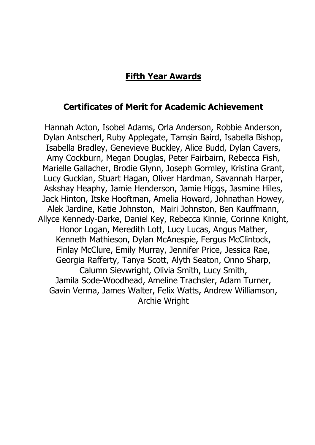## **Fifth Year Awards**

### **Certificates of Merit for Academic Achievement**

Hannah Acton, Isobel Adams, Orla Anderson, Robbie Anderson, Dylan Antscherl, Ruby Applegate, Tamsin Baird, Isabella Bishop, Isabella Bradley, Genevieve Buckley, Alice Budd, Dylan Cavers, Amy Cockburn, Megan Douglas, Peter Fairbairn, Rebecca Fish, Marielle Gallacher, Brodie Glynn, Joseph Gormley, Kristina Grant, Lucy Guckian, Stuart Hagan, Oliver Hardman, Savannah Harper, Askshay Heaphy, Jamie Henderson, Jamie Higgs, Jasmine Hiles, Jack Hinton, Itske Hooftman, Amelia Howard, Johnathan Howey, Alek Jardine, Katie Johnston, Mairi Johnston, Ben Kauffmann, Allyce Kennedy-Darke, Daniel Key, Rebecca Kinnie, Corinne Knight, Honor Logan, Meredith Lott, Lucy Lucas, Angus Mather, Kenneth Mathieson, Dylan McAnespie, Fergus McClintock, Finlay McClure, Emily Murray, Jennifer Price, Jessica Rae, Georgia Rafferty, Tanya Scott, Alyth Seaton, Onno Sharp, Calumn Sievwright, Olivia Smith, Lucy Smith, Jamila Sode-Woodhead, Ameline Trachsler, Adam Turner, Gavin Verma, James Walter, Felix Watts, Andrew Williamson, Archie Wright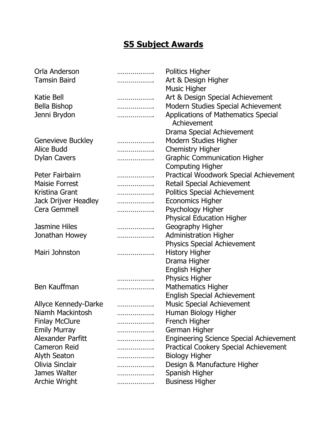# **S5 Subject Awards**

| Orla Anderson            | . | <b>Politics Higher</b>                                    |
|--------------------------|---|-----------------------------------------------------------|
| <b>Tamsin Baird</b>      | . | Art & Design Higher                                       |
|                          |   | <b>Music Higher</b>                                       |
| Katie Bell               | . | Art & Design Special Achievement                          |
| <b>Bella Bishop</b>      | . | Modern Studies Special Achievement                        |
| Jenni Brydon             | . | <b>Applications of Mathematics Special</b><br>Achievement |
|                          |   | Drama Special Achievement                                 |
| <b>Genevieve Buckley</b> | . | Modern Studies Higher                                     |
| Alice Budd               | . | <b>Chemistry Higher</b>                                   |
| <b>Dylan Cavers</b>      | . | <b>Graphic Communication Higher</b>                       |
|                          |   | <b>Computing Higher</b>                                   |
| Peter Fairbairn          | . | Practical Woodwork Special Achievement                    |
| <b>Maisie Forrest</b>    | . | <b>Retail Special Achievement</b>                         |
| Kristina Grant           | . | <b>Politics Special Achievement</b>                       |
| Jack Drijver Headley     | . | <b>Economics Higher</b>                                   |
| Cera Gemmell             | . | Psychology Higher                                         |
|                          |   | <b>Physical Education Higher</b>                          |
| <b>Jasmine Hiles</b>     | . | Geography Higher                                          |
| Jonathan Howey           | . | <b>Administration Higher</b>                              |
|                          |   | <b>Physics Special Achievement</b>                        |
| Mairi Johnston           | . | <b>History Higher</b>                                     |
|                          |   | Drama Higher                                              |
|                          |   | English Higher                                            |
|                          | . | <b>Physics Higher</b>                                     |
| Ben Kauffman             | . | <b>Mathematics Higher</b>                                 |
|                          |   | <b>English Special Achievement</b>                        |
| Allyce Kennedy-Darke     | . | <b>Music Special Achievement</b>                          |
| Niamh Mackintosh         | . | Human Biology Higher                                      |
| <b>Finlay McClure</b>    | . | French Higher                                             |
| <b>Emily Murray</b>      | . | German Higher                                             |
| Alexander Parfitt        | . | <b>Engineering Science Special Achievement</b>            |
| <b>Cameron Reid</b>      | . | <b>Practical Cookery Special Achievement</b>              |
| <b>Alyth Seaton</b>      | . | <b>Biology Higher</b>                                     |
| Olivia Sinclair          | . | Design & Manufacture Higher                               |
| James Walter             | . | Spanish Higher                                            |
| Archie Wright            | . | <b>Business Higher</b>                                    |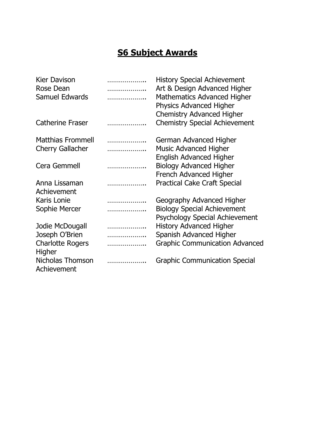# **S6 Subject Awards**

| <b>Kier Davison</b><br>Rose Dean  | .<br>.       | <b>History Special Achievement</b><br>Art & Design Advanced Higher       |
|-----------------------------------|--------------|--------------------------------------------------------------------------|
| <b>Samuel Edwards</b>             | .            | <b>Mathematics Advanced Higher</b><br><b>Physics Advanced Higher</b>     |
| <b>Catherine Fraser</b>           | .            | <b>Chemistry Advanced Higher</b><br><b>Chemistry Special Achievement</b> |
| <b>Matthias Frommell</b>          | .            | German Advanced Higher                                                   |
| <b>Cherry Gallacher</b>           | .            | <b>Music Advanced Higher</b><br><b>English Advanced Higher</b>           |
| Cera Gemmell                      | .            | <b>Biology Advanced Higher</b>                                           |
| Anna Lissaman<br>Achievement      | . <b>. .</b> | French Advanced Higher<br><b>Practical Cake Craft Special</b>            |
| Karis Lonie                       | .            | Geography Advanced Higher                                                |
| Sophie Mercer                     | .            | <b>Biology Special Achievement</b><br>Psychology Special Achievement     |
| Jodie McDougall                   | .            | <b>History Advanced Higher</b>                                           |
| Joseph O'Brien                    | .            | Spanish Advanced Higher                                                  |
| <b>Charlotte Rogers</b><br>Higher | .            | <b>Graphic Communication Advanced</b>                                    |
| Nicholas Thomson<br>Achievement   |              | <b>Graphic Communication Special</b>                                     |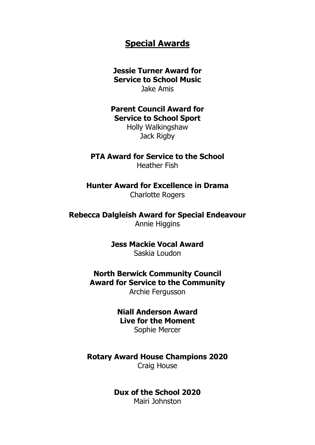#### **Special Awards**

#### **Jessie Turner Award for Service to School Music** Jake Amis

**Parent Council Award for Service to School Sport**

Holly Walkingshaw Jack Rigby

#### **PTA Award for Service to the School**

Heather Fish

**Hunter Award for Excellence in Drama** Charlotte Rogers

**Rebecca Dalgleish Award for Special Endeavour** Annie Higgins

> **Jess Mackie Vocal Award** Saskia Loudon

**North Berwick Community Council Award for Service to the Community** Archie Fergusson

> **Niall Anderson Award Live for the Moment** Sophie Mercer

**Rotary Award House Champions 2020** Craig House

**Dux of the School 2020**

Mairi Johnston